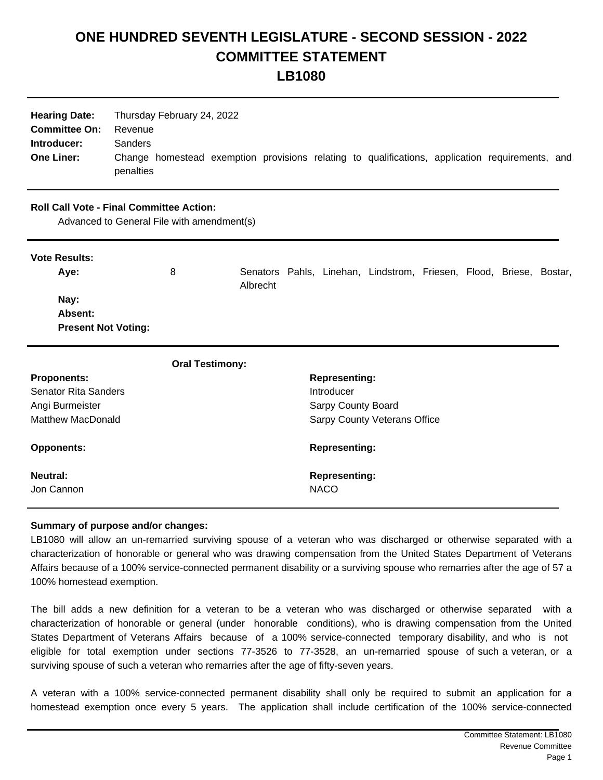## **ONE HUNDRED SEVENTH LEGISLATURE - SECOND SESSION - 2022 COMMITTEE STATEMENT LB1080**

| <b>Hearing Date:</b> | Thursday February 24, 2022                                                                      |
|----------------------|-------------------------------------------------------------------------------------------------|
| <b>Committee On:</b> | Revenue                                                                                         |
| Introducer:          | <b>Sanders</b>                                                                                  |
| <b>One Liner:</b>    | Change homestead exemption provisions relating to qualifications, application requirements, and |
|                      | penalties                                                                                       |

## **Roll Call Vote - Final Committee Action:**

Advanced to General File with amendment(s)

| <b>Vote Results:</b>                          |   |          |  |                                                                     |  |  |
|-----------------------------------------------|---|----------|--|---------------------------------------------------------------------|--|--|
| Aye:                                          | 8 | Albrecht |  | Senators Pahls, Linehan, Lindstrom, Friesen, Flood, Briese, Bostar, |  |  |
| Nay:<br>Absent:<br><b>Present Not Voting:</b> |   |          |  |                                                                     |  |  |

| <b>Oral Testimony:</b>      |                                     |
|-----------------------------|-------------------------------------|
| <b>Proponents:</b>          | <b>Representing:</b>                |
| <b>Senator Rita Sanders</b> | Introducer                          |
| Angi Burmeister             | Sarpy County Board                  |
| <b>Matthew MacDonald</b>    | <b>Sarpy County Veterans Office</b> |
| <b>Opponents:</b>           | <b>Representing:</b>                |
| <b>Neutral:</b>             | <b>Representing:</b>                |
| Jon Cannon                  | <b>NACO</b>                         |

## **Summary of purpose and/or changes:**

LB1080 will allow an un-remarried surviving spouse of a veteran who was discharged or otherwise separated with a characterization of honorable or general who was drawing compensation from the United States Department of Veterans Affairs because of a 100% service-connected permanent disability or a surviving spouse who remarries after the age of 57 a 100% homestead exemption.

The bill adds a new definition for a veteran to be a veteran who was discharged or otherwise separated with a characterization of honorable or general (under honorable conditions), who is drawing compensation from the United States Department of Veterans Affairs because of a 100% service-connected temporary disability, and who is not eligible for total exemption under sections 77-3526 to 77-3528, an un-remarried spouse of such a veteran, or a surviving spouse of such a veteran who remarries after the age of fifty-seven years.

A veteran with a 100% service-connected permanent disability shall only be required to submit an application for a homestead exemption once every 5 years. The application shall include certification of the 100% service-connected